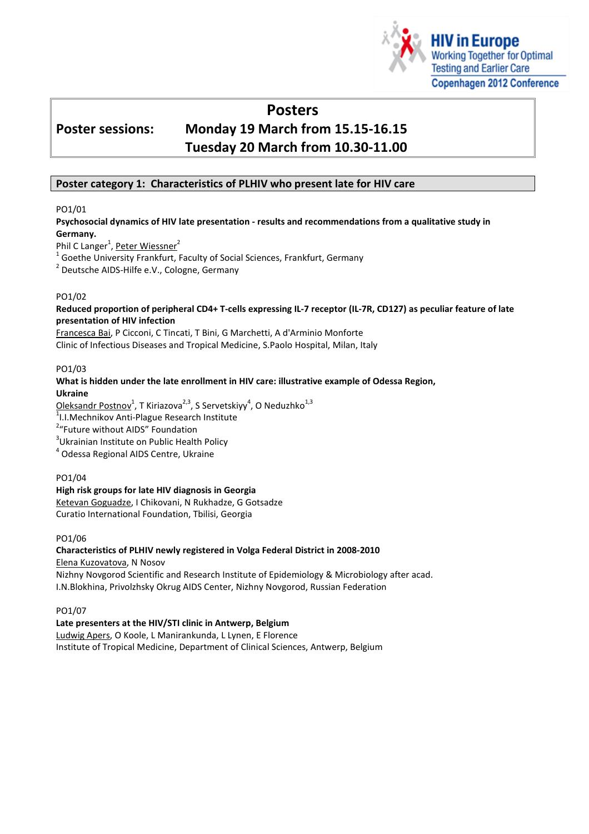

# Posters

# Poster sessions: Monday 19 March from 15.15-16.15 Tuesday 20 March from 10.30-11.00

## Poster category 1: Characteristics of PLHIV who present late for HIV care

## PO1/01

## Psychosocial dynamics of HIV late presentation - results and recommendations from a qualitative study in Germany.

Phil C Langer<sup>1</sup>, <u>Peter Wiessner</u><sup>2</sup>

 $^1$  Goethe University Frankfurt, Faculty of Social Sciences, Frankfurt, Germany

<sup>2</sup> Deutsche AIDS-Hilfe e.V., Cologne, Germany

## PO1/02

## Reduced proportion of peripheral CD4+ T-cells expressing IL-7 receptor (IL-7R, CD127) as peculiar feature of late presentation of HIV infection

Francesca Bai, P Cicconi, C Tincati, T Bini, G Marchetti, A d'Arminio Monforte Clinic of Infectious Diseases and Tropical Medicine, S.Paolo Hospital, Milan, Italy

## PO1/03

#### What is hidden under the late enrollment in HIV care: illustrative example of Odessa Region, Ukraine

<u>Oleksandr Postnov</u><sup>1</sup>, T Kiriazova<sup>2,3</sup>, S Servetskiyy<sup>4</sup>, O Neduzhko<sup>1,3</sup>

<sup>1</sup>I.I.Mechnikov Anti-Plague Research Institute

<sup>2</sup>"Future without AIDS" Foundation

<sup>3</sup>Ukrainian Institute on Public Health Policy

4 Odessa Regional AIDS Centre, Ukraine

## PO1/04

## High risk groups for late HIV diagnosis in Georgia

Ketevan Goguadze, I Chikovani, N Rukhadze, G Gotsadze Curatio International Foundation, Tbilisi, Georgia

## PO1/06

## Characteristics of PLHIV newly registered in Volga Federal District in 2008-2010

Elena Kuzovatova, N Nosov

Nizhny Novgorod Scientific and Research Institute of Epidemiology & Microbiology after acad. I.N.Blokhina, Privolzhsky Okrug AIDS Center, Nizhny Novgorod, Russian Federation

## PO1/07

Late presenters at the HIV/STI clinic in Antwerp, Belgium Ludwig Apers, O Koole, L Manirankunda, L Lynen, E Florence Institute of Tropical Medicine, Department of Clinical Sciences, Antwerp, Belgium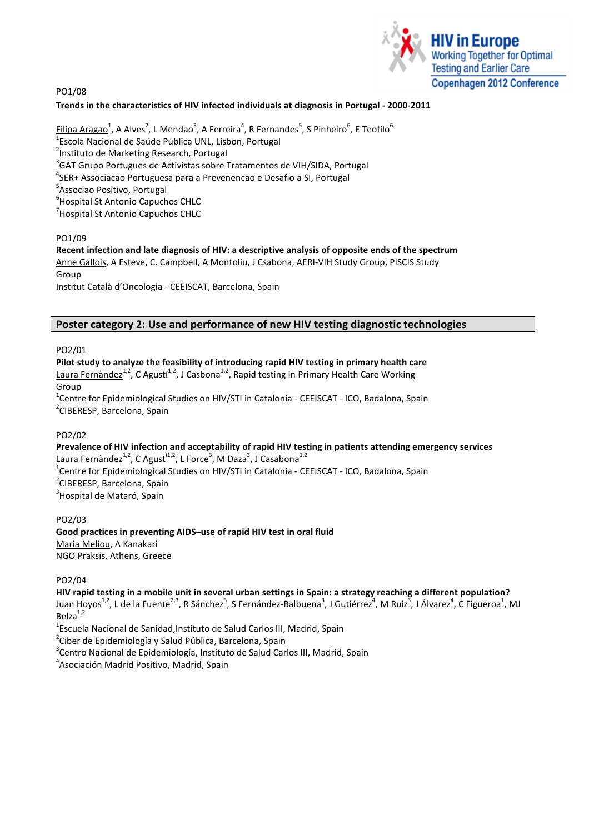PO1/08



## Trends in the characteristics of HIV infected individuals at diagnosis in Portugal - 2000-2011

 $\mathsf{Filipa\, Aragao}^1$ , A Alves $^2$ , L Mendao $^3$ , A Ferreira $^4$ , R Fernandes $^5$ , S Pinheiro $^6$ , E Teofilo $^6$ <sup>1</sup>Escola Nacional de Saúde Pública UNL, Lisbon, Portugal <sup>2</sup>Instituto de Marketing Research, Portugal  $3$ GAT Grupo Portugues de Activistas sobre Tratamentos de VIH/SIDA, Portugal 4 SER+ Associacao Portuguesa para a Prevenencao e Desafio a SI, Portugal <sup>5</sup>Associao Positivo, Portugal 6 Hospital St Antonio Capuchos CHLC <sup>7</sup> Hospital St Antonio Capuchos CHLC

## PO1/09

# Recent infection and late diagnosis of HIV: a descriptive analysis of opposite ends of the spectrum

Anne Gallois, A Esteve, C. Campbell, A Montoliu, J Csabona, AERI-VIH Study Group, PISCIS Study Group Institut Català d'Oncologia - CEEISCAT, Barcelona, Spain

## Poster category 2: Use and performance of new HIV testing diagnostic technologies

## PO2/01

Pilot study to analyze the feasibility of introducing rapid HIV testing in primary health care Laura Fernàndez<sup>1,2</sup>, C Agustí<sup>1,2</sup>, J Casbona<sup>1,2</sup>, Rapid testing in Primary Health Care Working Group <sup>1</sup>Centre for Epidemiological Studies on HIV/STI in Catalonia - CEEISCAT - ICO, Badalona, Spain <sup>2</sup>CIBERESP, Barcelona, Spain

## PO2/02

Prevalence of HIV infection and acceptability of rapid HIV testing in patients attending emergency services Laura Fernàndez<sup>1,2</sup>, C Agust<sup>í1,2</sup>, L Force<sup>3</sup>, M Daza<sup>3</sup>, J Casabona<sup>1,2</sup> <sup>1</sup>Centre for Epidemiological Studies on HIV/STI in Catalonia - CEEISCAT - ICO, Badalona, Spain <sup>2</sup>CIBERESP, Barcelona, Spain

<sup>3</sup>Hospital de Mataró, Spain

## PO2/03

Good practices in preventing AIDS–use of rapid HIV test in oral fluid Maria Meliou, A Kanakari NGO Praksis, Athens, Greece

PO2/04

## HIV rapid testing in a mobile unit in several urban settings in Spain: a strategy reaching a different population?

Juan Hoyos<sup>1,2</sup>, L de la Fuente<sup>2,3</sup>, R Sánchez<sup>3</sup>, S Fernández-Balbuena<sup>3</sup>, J Gutiérrez<sup>4</sup>, M Ruiz<sup>3</sup>, J Álvarez<sup>4</sup>, C Figueroa<sup>1</sup>, MJ Belza $1,2$ 

<sup>1</sup>Escuela Nacional de Sanidad, Instituto de Salud Carlos III, Madrid, Spain

<sup>2</sup>Ciber de Epidemiología y Salud Pública, Barcelona, Spain

<sup>3</sup>Centro Nacional de Epidemiología, Instituto de Salud Carlos III, Madrid, Spain

<sup>4</sup> Asociación Madrid Positivo, Madrid, Spain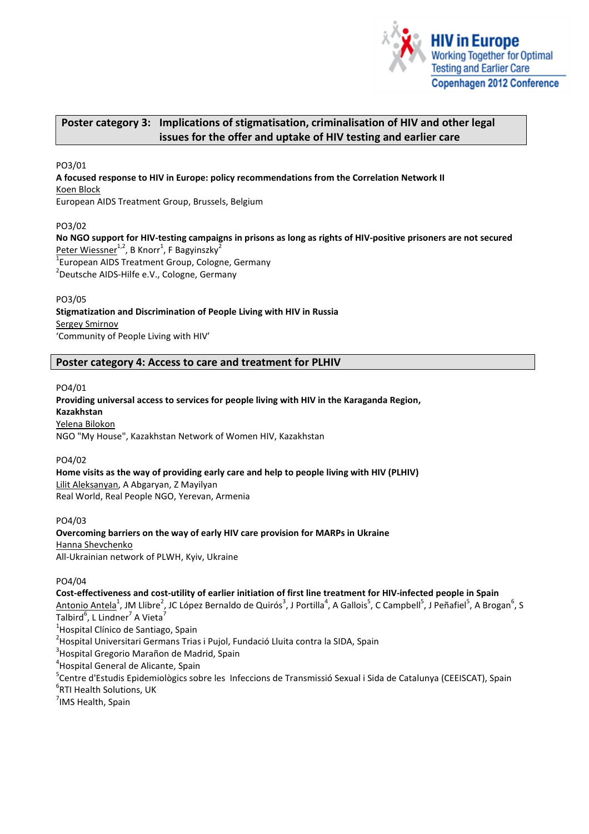

## Poster category 3: Implications of stigmatisation, criminalisation of HIV and other legal issues for the offer and uptake of HIV testing and earlier care

PO3/01

A focused response to HIV in Europe: policy recommendations from the Correlation Network II Koen Block

European AIDS Treatment Group, Brussels, Belgium

PO3/02

No NGO support for HIV-testing campaigns in prisons as long as rights of HIV-positive prisoners are not secured Peter Wiessner<sup>1,2</sup>, B Knorr<sup>1</sup>, F Bagyinszky<sup>2</sup>  $1$ European AIDS Treatment Group, Cologne, Germany <sup>2</sup>Deutsche AIDS-Hilfe e.V., Cologne, Germany

PO3/05

Stigmatization and Discrimination of People Living with HIV in Russia Sergey Smirnov 'Community of People Living with HIV'

Poster category 4: Access to care and treatment for PLHIV

PO4/01

Providing universal access to services for people living with HIV in the Karaganda Region, Kazakhstan Yelena Bilokon

NGO "My House", Kazakhstan Network of Women HIV, Kazakhstan

PO4/02

Home visits as the way of providing early care and help to people living with HIV (PLHIV) Lilit Aleksanyan, A Abgaryan, Z Mayilyan Real World, Real People NGO, Yerevan, Armenia

PO4/03 Overcoming barriers on the way of early HIV care provision for MARPs in Ukraine Hanna Shevchenko All-Ukrainian network of PLWH, Kyiv, Ukraine

PO4/04

Cost-effectiveness and cost-utility of earlier initiation of first line treatment for HIV-infected people in Spain

Antonio Antela<sup>1</sup>, JM Llibre<sup>2</sup>, JC López Bernaldo de Quirós<sup>3</sup>, J Portilla<sup>4</sup>, A Gallois<sup>5</sup>, C Campbell<sup>5</sup>, J Peñafiel<sup>5</sup>, A Brogan<sup>6</sup>, S Talbird $^6$ , L Lindner $^7$  A Vieta $^7$ 

<sup>1</sup>Hospital Clínico de Santiago, Spain

<sup>2</sup>Hospital Universitari Germans Trias i Pujol, Fundació Lluita contra la SIDA, Spain

<sup>3</sup>Hospital Gregorio Marañon de Madrid, Spain

<sup>4</sup>Hospital General de Alicante, Spain

<sup>5</sup>Centre d'Estudis Epidemiològics sobre les Infeccions de Transmissió Sexual i Sida de Catalunya (CEEISCAT), Spain

<sup>6</sup>RTI Health Solutions, UK

<sup>7</sup>IMS Health, Spain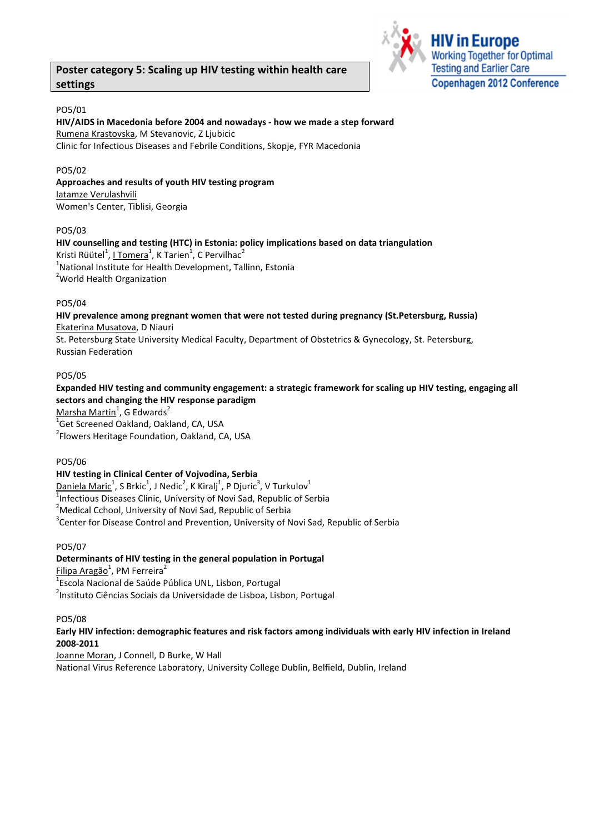## Poster category 5: Scaling up HIV testing within health care settings



## PO5/01

## HIV/AIDS in Macedonia before 2004 and nowadays - how we made a step forward Rumena Krastovska, M Stevanovic, Z Ljubicic Clinic for Infectious Diseases and Febrile Conditions, Skopje, FYR Macedonia

## PO5/02

## Approaches and results of youth HIV testing program

Iatamze Verulashvili Women's Center, Tiblisi, Georgia

## PO5/03

HIV counselling and testing (HTC) in Estonia: policy implications based on data triangulation Kristi Rüütel $^1$ , <u>I Tomera</u> $^1$ , K Tarien $^1$ , C Pervilhac $^2$  $^{1}$ National Institute for Health Development, Tallinn, Estonia <sup>2</sup> World Health Organization

## PO5/04

HIV prevalence among pregnant women that were not tested during pregnancy (St.Petersburg, Russia) Ekaterina Musatova, D Niauri

St. Petersburg State University Medical Faculty, Department of Obstetrics & Gynecology, St. Petersburg, Russian Federation

## PO5/05

Expanded HIV testing and community engagement: a strategic framework for scaling up HIV testing, engaging all sectors and changing the HIV response paradigm

<u>Marsha Martin</u><sup>1</sup>, G Edwards<sup>2</sup>

<sup>1</sup>Get Screened Oakland, Oakland, CA, USA <sup>2</sup> Flowers Heritage Foundation, Oakland, CA, USA

## PO5/06

## HIV testing in Clinical Center of Vojvodina, Serbia

 $\mathsf{Daniela~Maric}^1$ , S $\mathsf{Brkic}^1$ , J $\mathsf{Nedic}^2$ , K $\mathsf{Kiralj}^1$ , P $\mathsf{Djuric}^3$ , V $\mathsf{Turkulov}^1$ Infectious Diseases Clinic, University of Novi Sad, Republic of Serbia Medical Cchool, University of Novi Sad, Republic of Serbia Center for Disease Control and Prevention, University of Novi Sad, Republic of Serbia

## PO5/07

## Determinants of HIV testing in the general population in Portugal

<u>Filipa Aragão</u><sup>1</sup>, PM Ferreira<sup>2</sup>

<sup>1</sup>Escola Nacional de Saúde Pública UNL, Lisbon, Portugal <sup>2</sup>Instituto Ciências Sociais da Universidade de Lisboa, Lisbon, Portugal

## PO5/08

## Early HIV infection: demographic features and risk factors among individuals with early HIV infection in Ireland 2008-2011

Joanne Moran, J Connell, D Burke, W Hall National Virus Reference Laboratory, University College Dublin, Belfield, Dublin, Ireland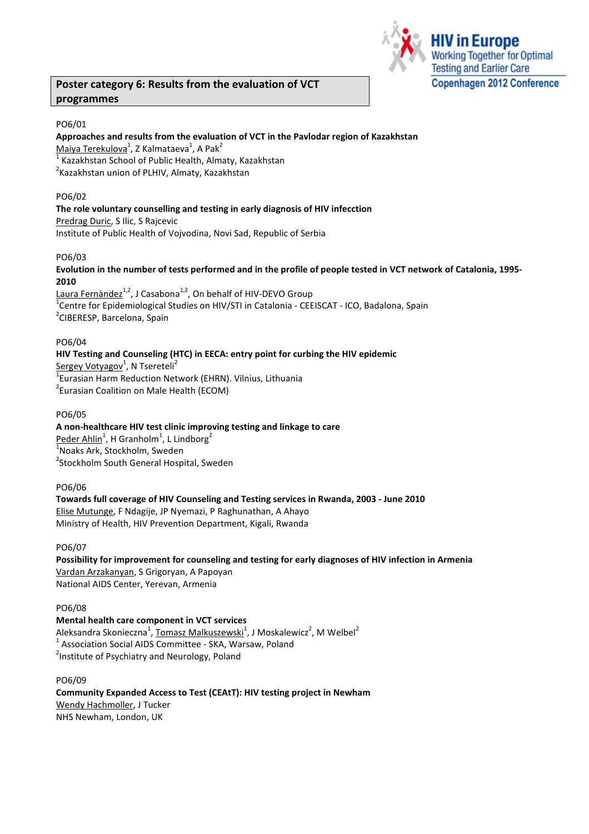## Poster category 6: Results from the evaluation of VCT programmes



## PO6/01

Approaches and results from the evaluation of VCT in the Pavlodar region of Kazakhstan Maiya Terekulova<sup>1</sup>, Z Kalmataeva<sup>1</sup>, A Pak<sup>2</sup> 1 Kazakhstan School of Public Health, Almaty, Kazakhstan

<sup>2</sup>Kazakhstan union of PLHIV, Almaty, Kazakhstan

## PO6/02

The role voluntary counselling and testing in early diagnosis of HIV infecction

Predrag Duric, S Ilic, S Rajcevic Institute of Public Health of Vojvodina, Novi Sad, Republic of Serbia

## PO6/03

Evolution in the number of tests performed and in the profile of people tested in VCT network of Catalonia, 1995- 2010

Laura Fernàndez $1/2$ , J Casabona<sup>1,2</sup>, On behalf of HIV-DEVO Group <sup>1</sup>Centre for Epidemiological Studies on HIV/STI in Catalonia - CEEISCAT - ICO, Badalona, Spain <sup>2</sup>CIBERESP, Barcelona, Spain

## PO6/04

## HIV Testing and Counseling (HTC) in EECA: entry point for curbing the HIV epidemic

Sergey Votyagov<sup>1</sup>, N Tsereteli<sup>2</sup>

1 Eurasian Harm Reduction Network (EHRN). Vilnius, Lithuania <sup>2</sup> Eurasian Coalition on Male Health (ECOM)

## PO6/05

## A non-healthcare HIV test clinic improving testing and linkage to care  $\overline{\mathsf{Peder}\mathsf{Ahlin}}^1$ , H Granholm<sup>1</sup>, L Lindborg<sup>2</sup> <sup>1</sup>Noaks Ark, Stockholm, Sweden <sup>2</sup>Stockholm South General Hospital, Sweden

## PO6/06

Towards full coverage of HIV Counseling and Testing services in Rwanda, 2003 - June 2010 Elise Mutunge, F Ndagije, JP Nyemazi, P Raghunathan, A Ahayo Ministry of Health, HIV Prevention Department, Kigali, Rwanda

PO6/07

Possibility for improvement for counseling and testing for early diagnoses of HIV infection in Armenia Vardan Arzakanyan, S Grigoryan, A Papoyan National AIDS Center, Yerevan, Armenia

## PO6/08

## Mental health care component in VCT services

Aleksandra Skonieczna<sup>1</sup>, <u>Tomasz Malkuszewski</u><sup>1</sup>, J Moskalewicz<sup>2</sup>, M Welbel<sup>2</sup> 1 Association Social AIDS Committee - SKA, Warsaw, Poland <sup>2</sup>Institute of Psychiatry and Neurology, Poland

## PO6/09

Community Expanded Access to Test (CEAtT): HIV testing project in Newham Wendy Hachmoller, J Tucker NHS Newham, London, UK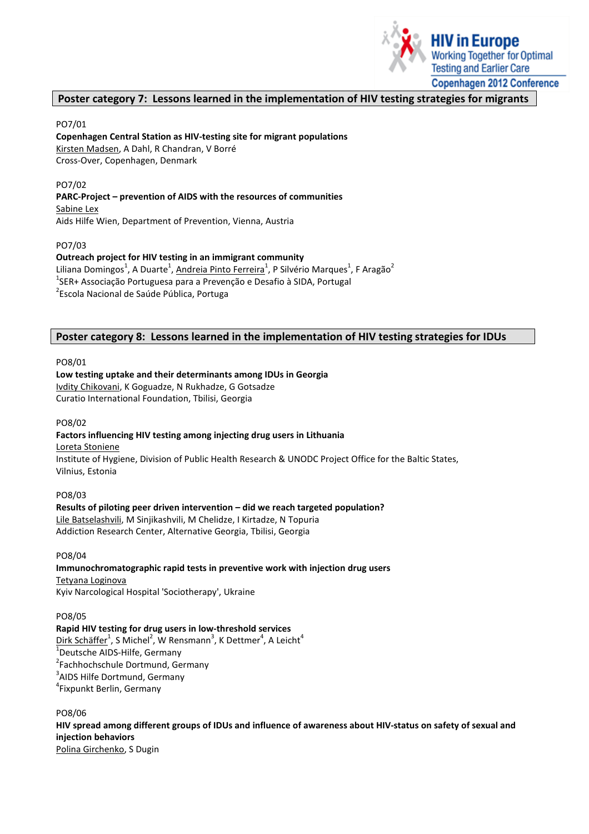

## Poster category 7: Lessons learned in the implementation of HIV testing strategies for migrants

#### PO7/01

Copenhagen Central Station as HIV-testing site for migrant populations Kirsten Madsen, A Dahl, R Chandran, V Borré Cross-Over, Copenhagen, Denmark

## PO7/02

## PARC-Project – prevention of AIDS with the resources of communities

Sabine Lex Aids Hilfe Wien, Department of Prevention, Vienna, Austria

## PO7/03

Outreach project for HIV testing in an immigrant community Liliana Domingos $^1$ , A Duarte $^1$ , <u>Andreia Pinto Ferreira</u> $^1$ , P Silvério Marques $^1$ , F Aragão $^2$ <sup>1</sup>SER+ Associação Portuguesa para a Prevenção e Desafio à SIDA, Portugal <sup>2</sup>Escola Nacional de Saúde Pública, Portuga

## Poster category 8: Lessons learned in the implementation of HIV testing strategies for IDUs

PO8/01

## Low testing uptake and their determinants among IDUs in Georgia Ivdity Chikovani, K Goguadze, N Rukhadze, G Gotsadze Curatio International Foundation, Tbilisi, Georgia

## PO8/02

## Factors influencing HIV testing among injecting drug users in Lithuania

Loreta Stoniene

Institute of Hygiene, Division of Public Health Research & UNODC Project Office for the Baltic States, Vilnius, Estonia

## PO8/03

Results of piloting peer driven intervention – did we reach targeted population? Lile Batselashvili, M Sinjikashvili, M Chelidze, I Kirtadze, N Topuria Addiction Research Center, Alternative Georgia, Tbilisi, Georgia

## PO8/04

Immunochromatographic rapid tests in preventive work with injection drug users Tetyana Loginova Kyiv Narcological Hospital 'Sociotherapy', Ukraine

#### PO8/05

Rapid HIV testing for drug users in low-threshold services  $D$ irk Schäffer $^1$ , S $M$ ichel $^2$ , W $R$ ensmann $^3$ , K $D$ ettmer $^4$ , A Leicht $^4$ <sup>1</sup>Deutsche AIDS-Hilfe, Germany <sup>2</sup> Fachhochschule Dortmund, Germany <sup>3</sup>AIDS Hilfe Dortmund, Germany <sup>4</sup>Fixpunkt Berlin, Germany

## PO8/06

HIV spread among different groups of IDUs and influence of awareness about HIV-status on safety of sexual and injection behaviors Polina Girchenko, S Dugin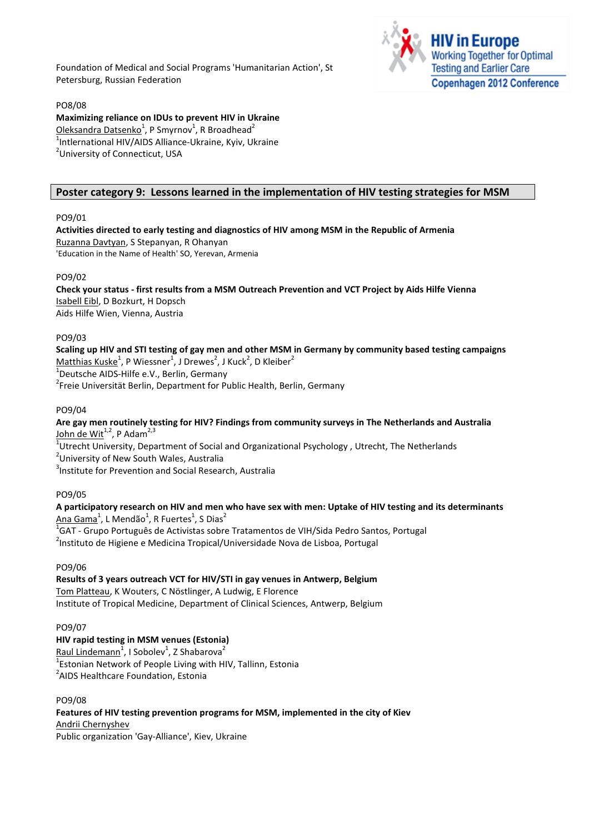Foundation of Medical and Social Programs 'Humanitarian Action', St Petersburg, Russian Federation



#### PO8/08

Maximizing reliance on IDUs to prevent HIV in Ukraine  $\overline{\bf{O}}$ leksandra Datsenko $^1$ , P Smyrnov $^1$ , R Broadhead $^2$ <sup>1</sup>Intlernational HIV/AIDS Alliance-Ukraine, Kyiv, Ukraine <sup>2</sup>University of Connecticut, USA

## Poster category 9: Lessons learned in the implementation of HIV testing strategies for MSM

## PO9/01

#### Activities directed to early testing and diagnostics of HIV among MSM in the Republic of Armenia Ruzanna Davtyan, S Stepanyan, R Ohanyan

'Education in the Name of Health' SO, Yerevan, Armenia

## PO9/02

Check your status - first results from a MSM Outreach Prevention and VCT Project by Aids Hilfe Vienna Isabell Eibl, D Bozkurt, H Dopsch Aids Hilfe Wien, Vienna, Austria

## PO9/03

Scaling up HIV and STI testing of gay men and other MSM in Germany by community based testing campaigns  $\textsf{Matthias Kuske}^1$ , P Wiessner $^1$ , J Drewes $^2$ , J Kuck $^2$ , D Kleiber $^2$ 

<sup>1</sup>Deutsche AIDS-Hilfe e.V., Berlin, Germany

<sup>2</sup> Freie Universität Berlin, Department for Public Health, Berlin, Germany

## PO9/04

## Are gay men routinely testing for HIV? Findings from community surveys in The Netherlands and Australia John de Wit<sup>1,2</sup>, P Adam<sup>2,3</sup>

 $^{1}$ Utrecht University, Department of Social and Organizational Psychology , Utrecht, The Netherlands

<sup>2</sup>University of New South Wales, Australia

3 Institute for Prevention and Social Research, Australia

## PO9/05

# A participatory research on HIV and men who have sex with men: Uptake of HIV testing and its determinants

 $\textsf{Ana}~\textsf{Gama}^1$ , L Mendão $^1$ , R Fuertes $^1$ , S Dias $^2$ 

 $^1$ GAT - Grupo Português de Activistas sobre Tratamentos de VIH/Sida Pedro Santos, Portugal

<sup>2</sup>Instituto de Higiene e Medicina Tropical/Universidade Nova de Lisboa, Portugal

## PO9/06

## Results of 3 years outreach VCT for HIV/STI in gay venues in Antwerp, Belgium

Tom Platteau, K Wouters, C Nöstlinger, A Ludwig, E Florence Institute of Tropical Medicine, Department of Clinical Sciences, Antwerp, Belgium

## PO9/07

## HIV rapid testing in MSM venues (Estonia)

Raul Lindemann<sup>1</sup>, I Sobolev<sup>1</sup>, Z Shabarova<sup>2</sup>

 $1$ Estonian Network of People Living with HIV, Tallinn, Estonia

<sup>2</sup>AIDS Healthcare Foundation, Estonia

## PO9/08

#### Features of HIV testing prevention programs for MSM, implemented in the city of Kiev Andrii Chernyshev

Public organization 'Gay-Alliance', Kiev, Ukraine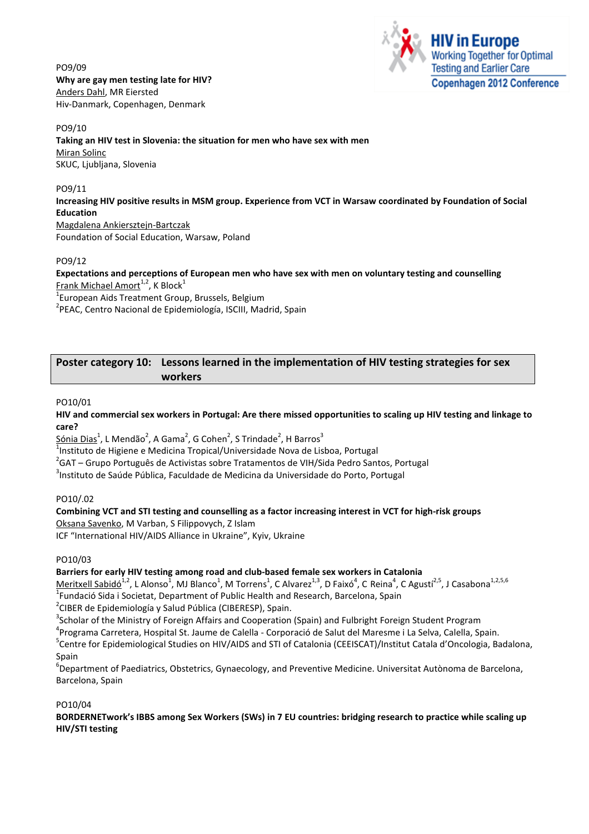PO9/09 Why are gay men testing late for HIV? Anders Dahl, MR Eiersted Hiv-Danmark, Copenhagen, Denmark



PO9/10

Taking an HIV test in Slovenia: the situation for men who have sex with men

Miran Solinc SKUC, Ljubljana, Slovenia

## PO9/11

Increasing HIV positive results in MSM group. Experience from VCT in Warsaw coordinated by Foundation of Social Education

Magdalena Ankiersztejn-Bartczak Foundation of Social Education, Warsaw, Poland

## PO9/12

Expectations and perceptions of European men who have sex with men on voluntary testing and counselling <u>Frank Michael Amort<sup>1,2</sup>,</u> K Block $^{1}$ 

 $1$ European Aids Treatment Group, Brussels, Belgium

<sup>2</sup>PEAC, Centro Nacional de Epidemiología, ISCIII, Madrid, Spain

## Poster category 10: Lessons learned in the implementation of HIV testing strategies for sex workers

## PO10/01

HIV and commercial sex workers in Portugal: Are there missed opportunities to scaling up HIV testing and linkage to care?

 $\underline{{\mathsf{S}}{\mathsf{onia}}}\, {\mathsf{D}}{\mathsf{ias}}^1$ , L Mendão ${}^2$ , A Gama ${}^2$ , G Cohen ${}^2$ , S Trindade ${}^2$ , H Barro ${\mathsf{s}}^3$ 

<sup>1</sup>Instituto de Higiene e Medicina Tropical/Universidade Nova de Lisboa, Portugal

<sup>2</sup>GAT – Grupo Português de Activistas sobre Tratamentos de VIH/Sida Pedro Santos, Portugal

<sup>3</sup>Instituto de Saúde Pública, Faculdade de Medicina da Universidade do Porto, Portugal

## PO10/.02

Combining VCT and STI testing and counselling as a factor increasing interest in VCT for high-risk groups Oksana Savenko, M Varban, S Filippovych, Z Islam

ICF "International HIV/AIDS Alliance in Ukraine", Kyiv, Ukraine

PO10/03

Barriers for early HIV testing among road and club-based female sex workers in Catalonia

 $M$ eritxell Sabidó<sup>1,2</sup>, L Alonso<sup>1</sup>, MJ Blanco<sup>1</sup>, M Torrens<sup>1</sup>, C Alvarez<sup>1,3</sup>, D Faixó<sup>4</sup>, C Reina<sup>4</sup>, C Agustí<sup>2,5</sup>, J Casabona<sup>1,2,5,6</sup> <sup>1</sup>Fundació Sida i Societat, Department of Public Health and Research, Barcelona, Spain

<sup>2</sup>CIBER de Epidemiología y Salud Pública (CIBERESP), Spain.

 $3$ Scholar of the Ministry of Foreign Affairs and Cooperation (Spain) and Fulbright Foreign Student Program

<sup>4</sup>Programa Carretera, Hospital St. Jaume de Calella - Corporació de Salut del Maresme i La Selva, Calella, Spain.

<sup>5</sup>Centre for Epidemiological Studies on HIV/AIDS and STI of Catalonia (CEEISCAT)/Institut Catala d'Oncologia, Badalona, Spain

6 Department of Paediatrics, Obstetrics, Gynaecology, and Preventive Medicine. Universitat Autònoma de Barcelona, Barcelona, Spain

PO10/04

BORDERNETwork's IBBS among Sex Workers (SWs) in 7 EU countries: bridging research to practice while scaling up HIV/STI testing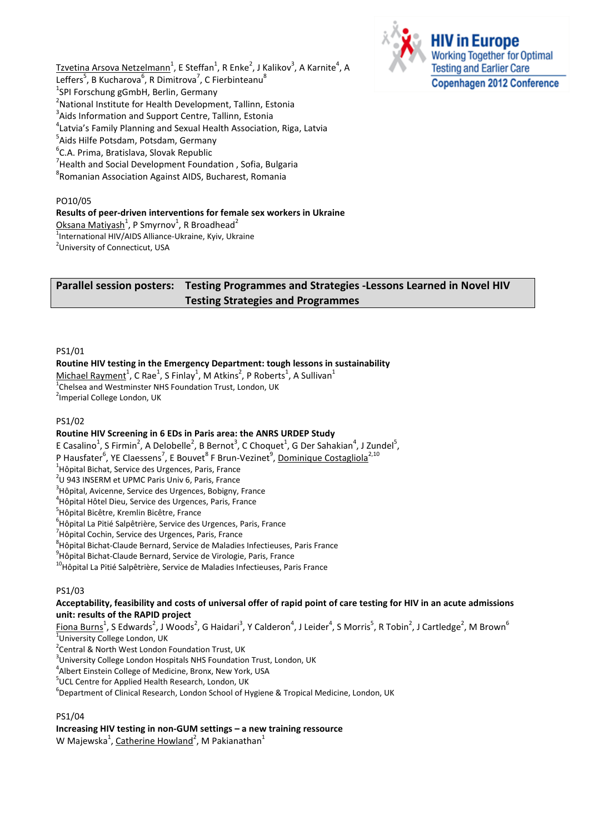Tzvetina Arsova Netzelmann<sup>1</sup>, E Steffan<sup>1</sup>, R Enke<sup>2</sup>, J Kalikov<sup>3</sup>, A Karnite<sup>4</sup>, A Leffers<sup>5</sup>, B Kucharova<sup>6</sup>, R Dimitrova<sup>7</sup>, C Fierbinteanu<sup>8</sup> <sup>1</sup>SPI Forschung gGmbH, Berlin, Germany <sup>2</sup>National Institute for Health Development, Tallinn, Estonia  $3$ Aids Information and Support Centre, Tallinn, Estonia 4 Latvia's Family Planning and Sexual Health Association, Riga, Latvia <sup>5</sup>Aids Hilfe Potsdam, Potsdam, Germany <sup>6</sup>C.A. Prima, Bratislava, Slovak Republic  $^7$ Health and Social Development Foundation , Sofia, Bulgaria <sup>8</sup>Romanian Association Against AIDS, Bucharest, Romania

## PO10/05

Results of peer-driven interventions for female sex workers in Ukraine

<u>Oksana Matiyash<sup>1</sup>,</u> P Smyrnov $^1$ , R Broadhead $^2$ 

<sup>1</sup>International HIV/AIDS Alliance-Ukraine, Kyiv, Ukraine

<sup>2</sup>University of Connecticut, USA

## Parallel session posters: Testing Programmes and Strategies -Lessons Learned in Novel HIV Testing Strategies and Programmes

#### PS1/01

Routine HIV testing in the Emergency Department: tough lessons in sustainability

 $M$ ichael Rayment $^1$ , C Rae $^1$ , S Finlay $^1$ , M Atkins<sup>2</sup>, P Roberts<sup>1</sup>, A Sullivan $^1$  $^{1}$ Chelsea and Westminster NHS Foundation Trust, London, UK

<sup>2</sup>Imperial College London, UK

## PS1/02

## Routine HIV Screening in 6 EDs in Paris area: the ANRS URDEP Study

E Casalino<sup>1</sup>, S Firmin<sup>2</sup>, A Delobelle<sup>2</sup>, B Bernot<sup>3</sup>, C Choquet<sup>1</sup>, G Der Sahakian<sup>4</sup>, J Zundel<sup>5</sup>,

P Hausfater<sup>6</sup>, YE Claessens<sup>7</sup>, E Bouvet<sup>8</sup> F Brun-Vezinet<sup>9</sup>, <u>Dominique Costagliola<sup>2,10</sup></u>

<sup>1</sup>Hôpital Bichat, Service des Urgences, Paris, France

 $2$ U 943 INSERM et UPMC Paris Univ 6, Paris, France

<sup>3</sup>Hôpital, Avicenne, Service des Urgences, Bobigny, France

4 Hôpital Hôtel Dieu, Service des Urgences, Paris, France

<sup>5</sup>Hôpital Bicêtre, Kremlin Bicêtre, France

<sup>6</sup>Hôpital La Pitié Salpêtrière, Service des Urgences, Paris, France

<sup>7</sup> Hôpital Cochin, Service des Urgences, Paris, France

<sup>8</sup> Hôpital Bichat-Claude Bernard, Service de Maladies Infectieuses, Paris France

<sup>9</sup>Hôpital Bichat-Claude Bernard, Service de Virologie, Paris, France

<sup>10</sup>Hôpital La Pitié Salpêtrière, Service de Maladies Infectieuses, Paris France

## PS1/03

## Acceptability, feasibility and costs of universal offer of rapid point of care testing for HIV in an acute admissions unit: results of the RAPID project

 $\bar{\rm F}$ iona Burns $^1$ , S Edwards $^2$ , J Woods $^2$ , G Haidari $^3$ , Y Calderon $^4$ , J Leider $^4$ , S Morris $^5$ , R Tobin $^2$ , J Cartledge $^2$ , M Brown $^6$ <sup>1</sup>University College London, UK

<sup>2</sup> Central & North West London Foundation Trust, UK

<sup>3</sup>University College London Hospitals NHS Foundation Trust, London, UK

4 Albert Einstein College of Medicine, Bronx, New York, USA

<sup>5</sup>UCL Centre for Applied Health Research, London, UK

<sup>6</sup>Department of Clinical Research, London School of Hygiene & Tropical Medicine, London, UK

## PS1/04

## Increasing HIV testing in non-GUM settings – a new training ressource

W Majewska<sup>1</sup>, <u>Catherine Howland</u><sup>2</sup>, M Pakianathan<sup>1</sup>

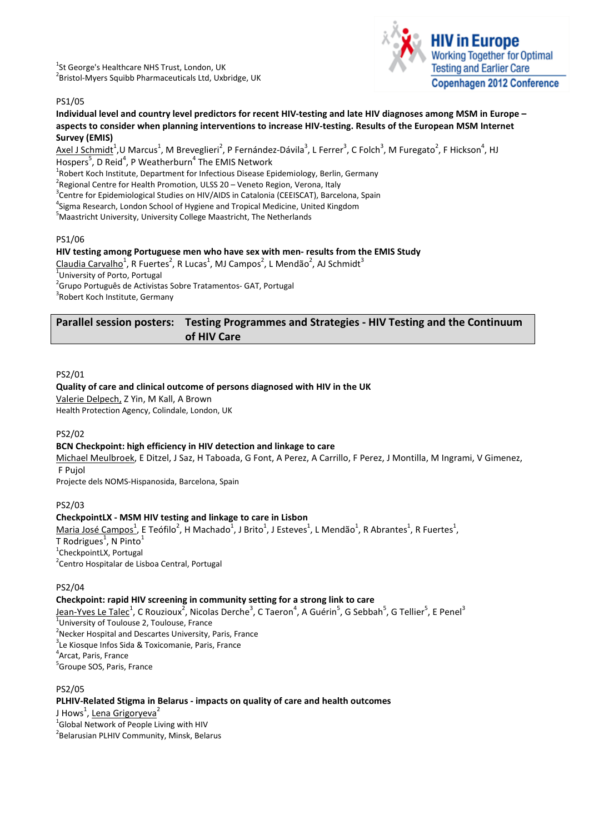<sup>1</sup>St George's Healthcare NHS Trust, London, UK <sup>2</sup> Bristol-Myers Squibb Pharmaceuticals Ltd, Uxbridge, UK



## PS1/05

## Individual level and country level predictors for recent HIV-testing and late HIV diagnoses among MSM in Europe – aspects to consider when planning interventions to increase HIV-testing. Results of the European MSM Internet Survey (EMIS)

 $\Delta$ xel J Schmid $t^1$ ,U Marcus $^1$ , M Breveglieri $^2$ , P Fernández-Dávila $^3$ , L Ferrer $^3$ , C Folch $^3$ , M Furegato $^2$ , F Hickson $^4$ , HJ Hospers<sup>5</sup>, D Reid<sup>4</sup>, P Weatherburn<sup>4</sup> The EMIS Network

<sup>1</sup>Robert Koch Institute, Department for Infectious Disease Epidemiology, Berlin, Germany

<sup>2</sup> Regional Centre for Health Promotion, ULSS 20 – Veneto Region, Verona, Italy

<sup>3</sup> Centre for Epidemiological Studies on HIV/AIDS in Catalonia (CEEISCAT), Barcelona, Spain

<sup>4</sup>Sigma Research, London School of Hygiene and Tropical Medicine, United Kingdom

<sup>5</sup>Maastricht University, University College Maastricht, The Netherlands

## PS1/06

## HIV testing among Portuguese men who have sex with men- results from the EMIS Study

Claudia Carvalho $^1$ , R Fuertes $^2$ , R Lucas $^1$ , MJ Campos $^2$ , L Mendão $^2$ , AJ Schmidt $^3$ <sup>1</sup> University of Porto, Portugal <sup>2</sup> Grupo Português de Activistas Sobre Tratamentos- GAT, Portugal <sup>3</sup> Robert Koch Institute, Germany

Parallel session posters: Testing Programmes and Strategies - HIV Testing and the Continuum of HIV Care

## PS2/01

## Quality of care and clinical outcome of persons diagnosed with HIV in the UK

Valerie Delpech, Z Yin, M Kall, A Brown

Health Protection Agency, Colindale, London, UK

## PS2/02

## BCN Checkpoint: high efficiency in HIV detection and linkage to care

Michael Meulbroek, E Ditzel, J Saz, H Taboada, G Font, A Perez, A Carrillo, F Perez, J Montilla, M Ingrami, V Gimenez, F Pujol

Projecte dels NOMS-Hispanosida, Barcelona, Spain

## PS2/03

## CheckpointLX - MSM HIV testing and linkage to care in Lisbon

Maria José Campos<sup>1</sup>, E Teófilo<sup>2</sup>, H Machado<sup>1</sup>, J Brito<sup>1</sup>, J Esteves<sup>1</sup>, L Mendão<sup>1</sup>, R Abrantes<sup>1</sup>, R Fuertes<sup>1</sup>,

T Rodrigues<sup>1</sup>, N Pinto<sup>1</sup> <sup>1</sup>CheckpointLX, Portugal

<sup>2</sup> Centro Hospitalar de Lisboa Central, Portugal

## PS2/04

## Checkpoint: rapid HIV screening in community setting for a strong link to care

J<u>ean-Yves Le Talec<sup>1</sup>,</u> C Rouzioux<sup>2</sup>, Nicolas Derche<sup>3</sup>, C Taeron<sup>4</sup>, A Guérin<sup>5</sup>, G Sebbah<sup>5</sup>, G Tellier<sup>5</sup>, E Penel<sup>3</sup> <sup>1</sup>University of Toulouse 2, Toulouse, France <sup>2</sup>Necker Hospital and Descartes University, Paris, France <sup>3</sup>Le Kiosque Infos Sida & Toxicomanie, Paris, France 4 Arcat, Paris, France <sup>5</sup>Groupe SOS, Paris, France

PS2/05 PLHIV-Related Stigma in Belarus - impacts on quality of care and health outcomes J Hows<sup>1</sup>, <u>Lena Grigoryeva</u><sup>2</sup> <sup>1</sup> Global Network of People Living with HIV

2 Belarusian PLHIV Community, Minsk, Belarus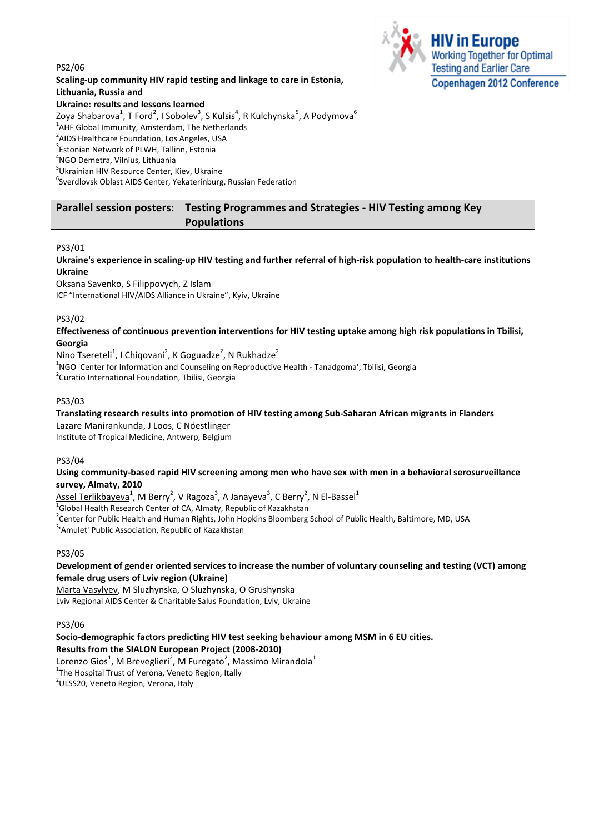## PS2/06 Scaling-up community HIV rapid testing and linkage to care in Estonia, Lithuania, Russia and Ukraine: results and lessons learned  $\mathsf{Zoya\ Shabarova}^1$ , T Ford $^2$ , I Sobolev $^3$ , S Kulsis $^4$ , R Kulchynska $^5$ , A Podymova $^6$



<sup>1</sup>AHF Global Immunity, Amsterdam, The Netherlands

<sup>2</sup>AIDS Healthcare Foundation, Los Angeles, USA

3 Estonian Network of PLWH, Tallinn, Estonia

## 4 NGO Demetra, Vilnius, Lithuania

<sup>5</sup>Ukrainian HIV Resource Center, Kiev, Ukraine

<sup>6</sup>Sverdlovsk Oblast AIDS Center, Yekaterinburg, Russian Federation

## Parallel session posters: Testing Programmes and Strategies - HIV Testing among Key Populations

## PS3/01

Ukraine's experience in scaling-up HIV testing and further referral of high-risk population to health-care institutions Ukraine

Oksana Savenko, S Filippovych, Z Islam ICF "International HIV/AIDS Alliance in Ukraine", Kyiv, Ukraine

## PS3/02

## Effectiveness of continuous prevention interventions for HIV testing uptake among high risk populations in Tbilisi, Georgia

Nino Tsereteli<sup>1</sup>, I Chiqovani<sup>2</sup>, K Goguadze<sup>2</sup>, N Rukhadze<sup>2</sup>

<sup>1</sup>NGO 'Center for Information and Counseling on Reproductive Health - Tanadgoma', Tbilisi, Georgia

<sup>2</sup> Curatio International Foundation, Tbilisi, Georgia

## PS3/03

## Translating research results into promotion of HIV testing among Sub-Saharan African migrants in Flanders

Lazare Manirankunda, J Loos, C Nöestlinger

Institute of Tropical Medicine, Antwerp, Belgium

## PS3/04

## Using community-based rapid HIV screening among men who have sex with men in a behavioral serosurveillance survey, Almaty, 2010

 $\Delta$ ssel Terlikbayeva $^1$ , M Berry $^2$ , V Ragoza $^3$ , A Janayeva $^3$ , C Berry $^2$ , N El-Bassel $^1$ 

<sup>1</sup>Global Health Research Center of CA, Almaty, Republic of Kazakhstan

<sup>2</sup>Center for Public Health and Human Rights, John Hopkins Bloomberg School of Public Health, Baltimore, MD, USA

<sup>3</sup>'Amulet' Public Association, Republic of Kazakhstan

## PS3/05

## Development of gender oriented services to increase the number of voluntary counseling and testing (VCT) among female drug users of Lviv region (Ukraine)

Marta Vasylyev, M Sluzhynska, O Sluzhynska, O Grushynska Lviv Regional AIDS Center & Charitable Salus Foundation, Lviv, Ukraine

## PS3/06

## Socio-demographic factors predicting HIV test seeking behaviour among MSM in 6 EU cities. Results from the SIALON European Project (2008-2010)

Lorenzo Gios $^1$ , M Breveglieri $^2$ , M Furegato $^2$ , <u>Massimo Mirandola $^1$ </u>

<sup>1</sup>The Hospital Trust of Verona, Veneto Region, Itally

<sup>2</sup>ULSS20, Veneto Region, Verona, Italy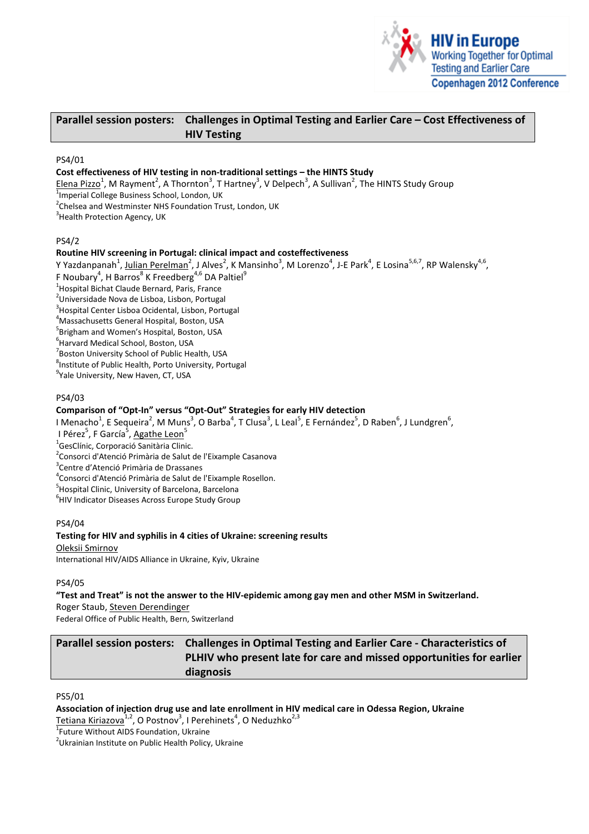

## Parallel session posters: Challenges in Optimal Testing and Earlier Care – Cost Effectiveness of HIV Testing

#### PS4/01

## Cost effectiveness of HIV testing in non-traditional settings – the HINTS Study

Elena Pizzo<sup>1</sup>, M Rayment<sup>2</sup>, A Thornton<sup>3</sup>, T Hartney<sup>3</sup>, V Delpech<sup>3</sup>, A Sullivan<sup>2</sup>, The HINTS Study Group <sup>1</sup>Imperial College Business School, London, UK

<sup>2</sup>Chelsea and Westminster NHS Foundation Trust, London, UK

<sup>3</sup>Health Protection Agency, UK

#### PS4/2

#### Routine HIV screening in Portugal: clinical impact and costeffectiveness

Y Yazdanpanah<sup>1</sup>, Julian Perelman<sup>2</sup>, J Alves<sup>2</sup>, K Mansinho<sup>3</sup>, M Lorenzo<sup>4</sup>, J-E Park<sup>4</sup>, E Losina<sup>5,6,7</sup>, RP Walensky<sup>4,6</sup>,

F Noubary<sup>4</sup>, H Barros<sup>8</sup> K Freedberg<sup>4,6</sup> DA Paltiel<sup>9</sup>

<sup>1</sup>Hospital Bichat Claude Bernard, Paris, France

<sup>2</sup>Universidade Nova de Lisboa, Lisbon, Portugal

<sup>3</sup> Hospital Center Lisboa Ocidental, Lisbon, Portugal

<sup>4</sup>Massachusetts General Hospital, Boston, USA

<sup>5</sup>Brigham and Women's Hospital, Boston, USA

6 Harvard Medical School, Boston, USA

<sup>7</sup> Boston University School of Public Health, USA

<sup>8</sup>Institute of Public Health, Porto University, Portugal

<sup>9</sup>Yale University, New Haven, CT, USA

#### PS4/03

## Comparison of "Opt-In" versus "Opt-Out" Strategies for early HIV detection

I Menacho $^1$ , E Sequeira $^2$ , M Muns $^3$ , O Barba $^4$ , T Clusa $^3$ , L Leal $^5$ , E Fernández $^5$ , D Raben $^6$ , J Lundgren $^6$ , I Pérez<sup>5</sup>, F García<sup>5</sup>, Agathe Leon<sup>5</sup>

<sup>1</sup>GesClínic, Corporació Sanitària Clinic.

<sup>2</sup> Consorci d'Atenció Primària de Salut de l'Eixample Casanova

<sup>3</sup>Centre d'Atenció Primària de Drassanes

<sup>4</sup>Consorci d'Atenció Primària de Salut de l'Eixample Rosellon.

<sup>5</sup> Hospital Clinic, University of Barcelona, Barcelona

<sup>6</sup>HIV Indicator Diseases Across Europe Study Group

## PS4/04

#### Testing for HIV and syphilis in 4 cities of Ukraine: screening results Oleksii Smirnov

International HIV/AIDS Alliance in Ukraine, Kyiv, Ukraine

## PS4/05

"Test and Treat" is not the answer to the HIV-epidemic among gay men and other MSM in Switzerland.

Roger Staub, Steven Derendinger

Federal Office of Public Health, Bern, Switzerland

# Parallel session posters: Challenges in Optimal Testing and Earlier Care - Characteristics of PLHIV who present late for care and missed opportunities for earlier diagnosis

## PS5/01

## Association of injection drug use and late enrollment in HIV medical care in Odessa Region, Ukraine

Tetiana Kiriazova<sup>1,2</sup>, O Postnov<sup>3</sup>, I Perehinets<sup>4</sup>, O Neduzhko<sup>2,3</sup>

1 Future Without AIDS Foundation, Ukraine

<sup>2</sup>Ukrainian Institute on Public Health Policy, Ukraine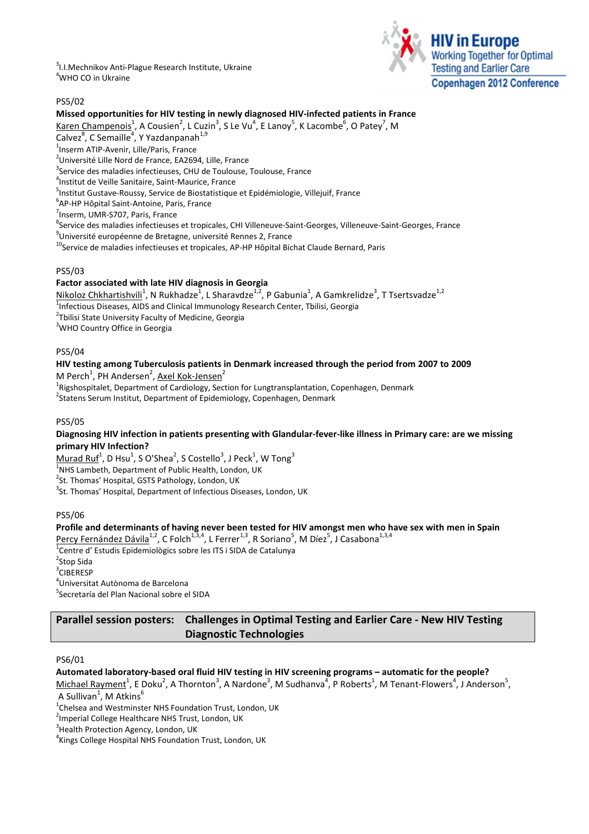<sup>3</sup>I.I.Mechnikov Anti-Plague Research Institute, Ukraine <sup>4</sup>WHO CO in Ukraine



## PS5/02

## Missed opportunities for HIV testing in newly diagnosed HIV-infected patients in France

Karen Champenois<sup>1</sup>, A Cousien<sup>2</sup>, L Cuzin<sup>3</sup>, S Le Vu<sup>4</sup>, E Lanoy<sup>5</sup>, K Lacombe<sup>6</sup>, O Patey<sup>7</sup>, M Calvez $^8$ , C Semaille<sup>4</sup>, Y Yazdanpanah<sup>1,9</sup>

<sup>1</sup>Inserm ATIP-Avenir, Lille/Paris, France

<sup>2</sup>Université Lille Nord de France, EA2694, Lille, France

<sup>3</sup>Service des maladies infectieuses, CHU de Toulouse, Toulouse, France

4 Institut de Veille Sanitaire, Saint-Maurice, France

<sup>5</sup>Institut Gustave-Roussy, Service de Biostatistique et Epidémiologie, Villejuif, France

6 AP-HP Hôpital Saint-Antoine, Paris, France

<sup>7</sup>Inserm, UMR-S707, Paris, France

<sup>8</sup>Service des maladies infectieuses et tropicales, CHI Villeneuve-Saint-Georges, Villeneuve-Saint-Georges, France

<sup>9</sup>Université européenne de Bretagne, université Rennes 2, France

<sup>10</sup>Service de maladies infectieuses et tropicales, AP-HP Hôpital Bichat Claude Bernard, Paris

## PS5/03

## Factor associated with late HIV diagnosis in Georgia

Nikoloz Chkhartishvili<sup>1</sup>, N Rukhadze<sup>1</sup>, L Sharavdze<sup>1,2</sup>, P Gabunia<sup>1</sup>, A Gamkrelidze<sup>3</sup>, T Tsertsvadze<sup>1,2</sup>

 $^{\text{1}}$ Infectious Diseases, AIDS and Clinical Immunology Research Center, Tbilisi, Georgia

<sup>2</sup>Tbilisi State University Faculty of Medicine, Georgia

<sup>3</sup>WHO Country Office in Georgia

## PS5/04

## HIV testing among Tuberculosis patients in Denmark increased through the period from 2007 to 2009 M Perch<sup>1</sup>, PH Andersen<sup>2</sup>, <u>Axel Kok-Jensen</u><sup>2</sup>

<sup>1</sup>Rigshospitalet, Department of Cardiology, Section for Lungtransplantation, Copenhagen, Denmark

<sup>2</sup> Statens Serum Institut, Department of Epidemiology, Copenhagen, Denmark

## PS5/05

## Diagnosing HIV infection in patients presenting with Glandular-fever-like illness in Primary care: are we missing primary HIV Infection?

 $Murad Ruf<sup>1</sup>$ , D Hsu<sup>1</sup>, S O'Shea<sup>2</sup>, S Costello<sup>3</sup>, J Peck<sup>1</sup>, W Tong<sup>3</sup>

<sup>1</sup>NHS Lambeth, Department of Public Health, London, UK

<sup>2</sup>St. Thomas' Hospital, GSTS Pathology, London, UK

 $3$ St. Thomas' Hospital, Department of Infectious Diseases, London, UK

## PS5/06

Profile and determinants of having never been tested for HIV amongst men who have sex with men in Spain Percy Fernández Dávila<sup>1,2</sup>, C Folch<sup>1,3,4</sup>, L Ferrer<sup>1,3</sup>, R Soriano<sup>5</sup>, M Díez<sup>5</sup>, J Casabona<sup>1,3,4</sup> <sup>1</sup>Centre d' Estudis Epidemiològics sobre les ITS i SIDA de Catalunya <sup>2</sup>Stop Sida

3 CIBERESP

4 Universitat Autònoma de Barcelona

<sup>5</sup>Secretaría del Plan Nacional sobre el SIDA

## Parallel session posters: Challenges in Optimal Testing and Earlier Care - New HIV Testing Diagnostic Technologies

## PS6/01

## Automated laboratory-based oral fluid HIV testing in HIV screening programs – automatic for the people?

 $Michael Rayment<sup>1</sup>$ , E Doku<sup>2</sup>, A Thornton<sup>3</sup>, A Nardone<sup>3</sup>, M Sudhanva<sup>4</sup>, P Roberts<sup>1</sup>, M Tenant-Flowers<sup>4</sup>, J Anderson<sup>5</sup>, A Sullivan<sup>1</sup>, M Atkins<sup>6</sup>

 $^{1}$ Chelsea and Westminster NHS Foundation Trust, London, UK

<sup>&</sup>lt;sup>2</sup>Imperial College Healthcare NHS Trust, London, UK

<sup>&</sup>lt;sup>3</sup> Health Protection Agency, London, UK

<sup>&</sup>lt;sup>4</sup>Kings College Hospital NHS Foundation Trust, London, UK